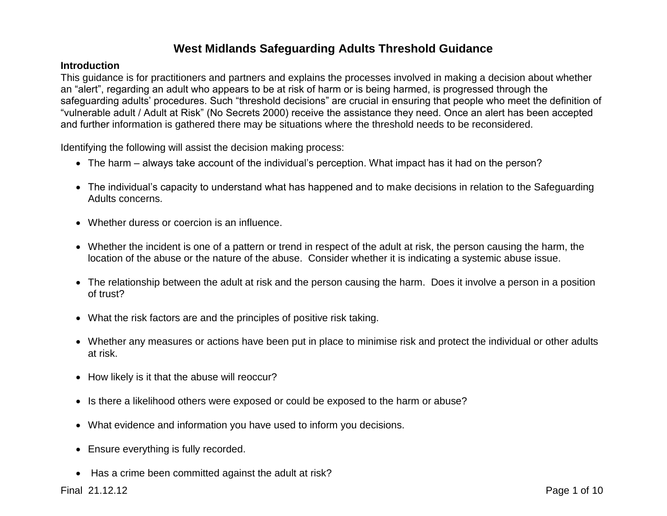## **West Midlands Safeguarding Adults Threshold Guidance**

## **Introduction**

This guidance is for practitioners and partners and explains the processes involved in making a decision about whether an "alert", regarding an adult who appears to be at risk of harm or is being harmed, is progressed through the safeguarding adults' procedures. Such "threshold decisions" are crucial in ensuring that people who meet the definition of "vulnerable adult / Adult at Risk" (No Secrets 2000) receive the assistance they need. Once an alert has been accepted and further information is gathered there may be situations where the threshold needs to be reconsidered.

Identifying the following will assist the decision making process:

- The harm always take account of the individual's perception. What impact has it had on the person?
- The individual's capacity to understand what has happened and to make decisions in relation to the Safeguarding Adults concerns.
- Whether duress or coercion is an influence.
- Whether the incident is one of a pattern or trend in respect of the adult at risk, the person causing the harm, the location of the abuse or the nature of the abuse. Consider whether it is indicating a systemic abuse issue.
- The relationship between the adult at risk and the person causing the harm. Does it involve a person in a position of trust?
- What the risk factors are and the principles of positive risk taking.
- Whether any measures or actions have been put in place to minimise risk and protect the individual or other adults at risk.
- How likely is it that the abuse will reoccur?
- Is there a likelihood others were exposed or could be exposed to the harm or abuse?
- What evidence and information you have used to inform you decisions.
- Ensure everything is fully recorded.
- Has a crime been committed against the adult at risk?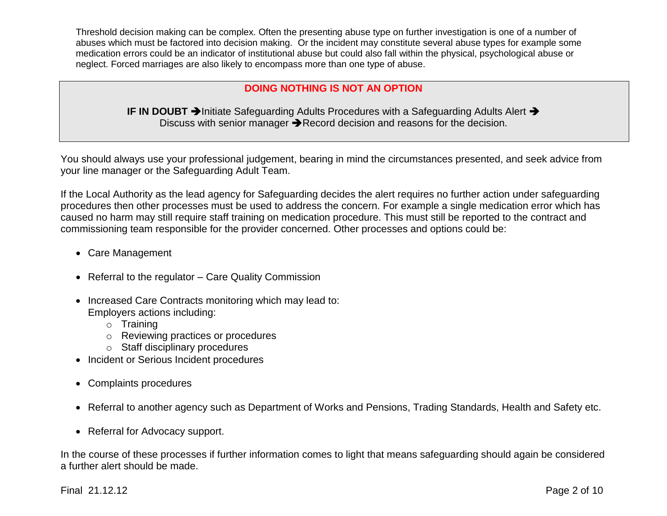Threshold decision making can be complex. Often the presenting abuse type on further investigation is one of a number of abuses which must be factored into decision making. Or the incident may constitute several abuse types for example some medication errors could be an indicator of institutional abuse but could also fall within the physical, psychological abuse or neglect. Forced marriages are also likely to encompass more than one type of abuse.

## **DOING NOTHING IS NOT AN OPTION**

**IF IN DOUBT >**Initiate Safeguarding Adults Procedures with a Safeguarding Adults Alert > Discuss with senior manager  $\rightarrow$  Record decision and reasons for the decision.

You should always use your professional judgement, bearing in mind the circumstances presented, and seek advice from your line manager or the Safeguarding Adult Team.

If the Local Authority as the lead agency for Safeguarding decides the alert requires no further action under safeguarding procedures then other processes must be used to address the concern. For example a single medication error which has caused no harm may still require staff training on medication procedure. This must still be reported to the contract and commissioning team responsible for the provider concerned. Other processes and options could be:

- Care Management
- Referral to the regulator Care Quality Commission
- Increased Care Contracts monitoring which may lead to: Employers actions including:
	- o Training
	- o Reviewing practices or procedures
	- o Staff disciplinary procedures
- Incident or Serious Incident procedures
- Complaints procedures
- Referral to another agency such as Department of Works and Pensions, Trading Standards, Health and Safety etc.
- Referral for Advocacy support.

In the course of these processes if further information comes to light that means safeguarding should again be considered a further alert should be made.

Final 21.12.12 Page 2 of 10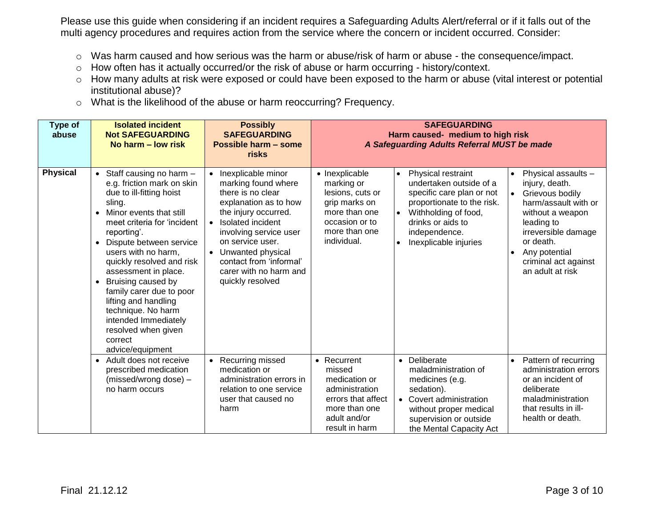Please use this guide when considering if an incident requires a Safeguarding Adults Alert/referral or if it falls out of the multi agency procedures and requires action from the service where the concern or incident occurred. Consider:

- o Was harm caused and how serious was the harm or abuse/risk of harm or abuse the consequence/impact.
- o How often has it actually occurred/or the risk of abuse or harm occurring history/context.
- o How many adults at risk were exposed or could have been exposed to the harm or abuse (vital interest or potential institutional abuse)?
- o What is the likelihood of the abuse or harm reoccurring? Frequency.

| Type of<br>abuse | <b>Isolated incident</b><br><b>Not SAFEGUARDING</b><br>No harm – low risk                                                                                                                                                                                                                                                                                                                                                                                                      | <b>Possibly</b><br><b>SAFEGUARDING</b><br>Possible harm - some<br>risks                                                                                                                                                                                                                           | <b>SAFEGUARDING</b><br>Harm caused- medium to high risk<br>A Safeguarding Adults Referral MUST be made                                                                                                                                                                                                                                                                                                                                                                                                                                                                                                             |  |  |
|------------------|--------------------------------------------------------------------------------------------------------------------------------------------------------------------------------------------------------------------------------------------------------------------------------------------------------------------------------------------------------------------------------------------------------------------------------------------------------------------------------|---------------------------------------------------------------------------------------------------------------------------------------------------------------------------------------------------------------------------------------------------------------------------------------------------|--------------------------------------------------------------------------------------------------------------------------------------------------------------------------------------------------------------------------------------------------------------------------------------------------------------------------------------------------------------------------------------------------------------------------------------------------------------------------------------------------------------------------------------------------------------------------------------------------------------------|--|--|
| <b>Physical</b>  | • Staff causing no harm $-$<br>e.g. friction mark on skin<br>due to ill-fitting hoist<br>sling.<br>• Minor events that still<br>meet criteria for 'incident<br>reporting'.<br>• Dispute between service<br>users with no harm,<br>quickly resolved and risk<br>assessment in place.<br>Bruising caused by<br>$\bullet$<br>family carer due to poor<br>lifting and handling<br>technique. No harm<br>intended Immediately<br>resolved when given<br>correct<br>advice/equipment | • Inexplicable minor<br>marking found where<br>there is no clear<br>explanation as to how<br>the injury occurred.<br>Isolated incident<br>$\bullet$<br>involving service user<br>on service user.<br>• Unwanted physical<br>contact from 'informal'<br>carer with no harm and<br>quickly resolved | • Inexplicable<br>Physical restraint<br>Physical assaults -<br>$\bullet$<br>$\bullet$<br>undertaken outside of a<br>injury, death.<br>marking or<br>specific care plan or not<br>lesions, cuts or<br>Grievous bodily<br>$\bullet$<br>grip marks on<br>proportionate to the risk.<br>harm/assault with or<br>more than one<br>Withholding of food,<br>without a weapon<br>occasion or to<br>drinks or aids to<br>leading to<br>more than one<br>independence.<br>irreversible damage<br>individual.<br>or death.<br>Inexplicable injuries<br>Any potential<br>$\bullet$<br>criminal act against<br>an adult at risk |  |  |
|                  | • Adult does not receive<br>prescribed medication<br>(missed/wrong dose) -<br>no harm occurs                                                                                                                                                                                                                                                                                                                                                                                   | • Recurring missed<br>medication or<br>administration errors in<br>relation to one service<br>user that caused no<br>harm                                                                                                                                                                         | Deliberate<br>• Recurrent<br>Pattern of recurring<br>administration errors<br>missed<br>maladministration of<br>medication or<br>or an incident of<br>medicines (e.g.<br>administration<br>sedation).<br>deliberate<br>errors that affect<br>maladministration<br>• Covert administration<br>more than one<br>that results in ill-<br>without proper medical<br>adult and/or<br>health or death.<br>supervision or outside<br>result in harm<br>the Mental Capacity Act                                                                                                                                            |  |  |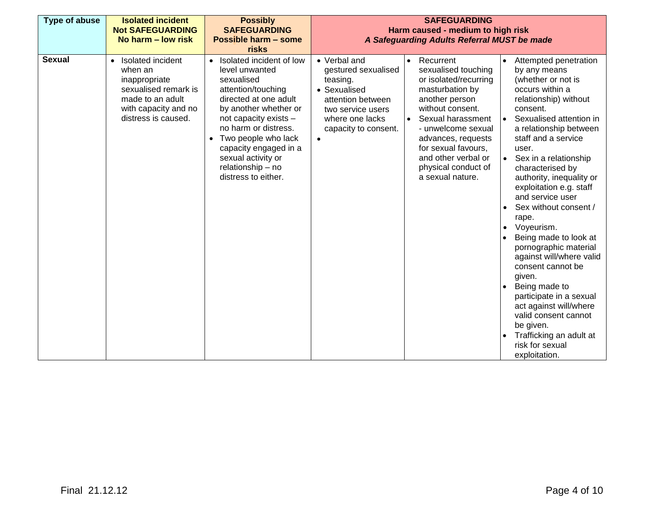| <b>Type of abuse</b> | <b>Isolated incident</b><br><b>Not SAFEGUARDING</b><br>No harm – low risk                                                                | <b>Possibly</b><br><b>SAFEGUARDING</b><br><b>Possible harm - some</b><br>risks                                                                                                                                                                                                                      | <b>SAFEGUARDING</b><br>Harm caused - medium to high risk<br>A Safeguarding Adults Referral MUST be made                                                                                                                                                                                                                                                                                                                                                                                                                                                                                                                                                                                                                                                                                                                                                                                                                                                                                                                                                                                                                                                                          |  |  |
|----------------------|------------------------------------------------------------------------------------------------------------------------------------------|-----------------------------------------------------------------------------------------------------------------------------------------------------------------------------------------------------------------------------------------------------------------------------------------------------|----------------------------------------------------------------------------------------------------------------------------------------------------------------------------------------------------------------------------------------------------------------------------------------------------------------------------------------------------------------------------------------------------------------------------------------------------------------------------------------------------------------------------------------------------------------------------------------------------------------------------------------------------------------------------------------------------------------------------------------------------------------------------------------------------------------------------------------------------------------------------------------------------------------------------------------------------------------------------------------------------------------------------------------------------------------------------------------------------------------------------------------------------------------------------------|--|--|
| <b>Sexual</b>        | Isolated incident<br>when an<br>inappropriate<br>sexualised remark is<br>made to an adult<br>with capacity and no<br>distress is caused. | Isolated incident of low<br>level unwanted<br>sexualised<br>attention/touching<br>directed at one adult<br>by another whether or<br>not capacity exists -<br>no harm or distress.<br>Two people who lack<br>capacity engaged in a<br>sexual activity or<br>relationship - no<br>distress to either. | • Verbal and<br>Recurrent<br>Attempted penetration<br>$\bullet$<br>gestured sexualised<br>sexualised touching<br>by any means<br>(whether or not is<br>or isolated/recurring<br>teasing.<br>occurs within a<br>• Sexualised<br>masturbation by<br>another person<br>attention between<br>relationship) without<br>without consent.<br>consent.<br>two service users<br>Sexual harassment<br>Sexualised attention in<br>where one lacks<br>$\bullet$<br>$\bullet$<br>- unwelcome sexual<br>a relationship between<br>capacity to consent.<br>staff and a service<br>advances, requests<br>$\bullet$<br>for sexual favours,<br>user.<br>and other verbal or<br>Sex in a relationship<br>$\bullet$<br>physical conduct of<br>characterised by<br>a sexual nature.<br>authority, inequality or<br>exploitation e.g. staff<br>and service user<br>Sex without consent /<br>rape.<br>Voyeurism.<br>Being made to look at<br>pornographic material<br>against will/where valid<br>consent cannot be<br>given.<br>Being made to<br>participate in a sexual<br>act against will/where<br>valid consent cannot<br>be given.<br>Trafficking an adult at<br>risk for sexual<br>exploitation. |  |  |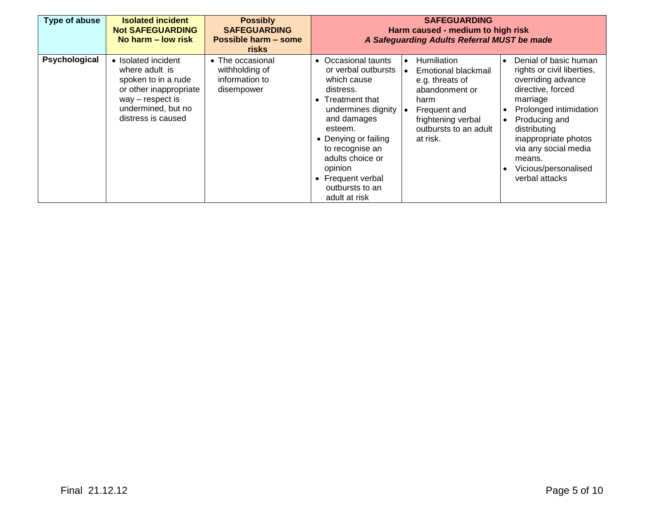| Type of abuse | <b>Isolated incident</b><br><b>Not SAFEGUARDING</b><br>No harm – low risk                                                                                | <b>Possibly</b><br><b>SAFEGUARDING</b><br><b>Possible harm - some</b><br>risks | <b>SAFEGUARDING</b><br>Harm caused - medium to high risk<br>A Safeguarding Adults Referral MUST be made                                                                                                                                                                                                                                                                                                                                                                                                                                                                                                                                                                                                                                                         |  |  |
|---------------|----------------------------------------------------------------------------------------------------------------------------------------------------------|--------------------------------------------------------------------------------|-----------------------------------------------------------------------------------------------------------------------------------------------------------------------------------------------------------------------------------------------------------------------------------------------------------------------------------------------------------------------------------------------------------------------------------------------------------------------------------------------------------------------------------------------------------------------------------------------------------------------------------------------------------------------------------------------------------------------------------------------------------------|--|--|
| Psychological | • Isolated incident<br>where adult is<br>spoken to in a rude<br>or other inappropriate<br>$way$ – respect is<br>undermined, but no<br>distress is caused | • The occasional<br>withholding of<br>information to<br>disempower             | <b>Humiliation</b><br>Denial of basic human<br>• Occasional taunts<br>$\bullet$<br>$\bullet$<br>or verbal outbursts<br>rights or civil liberties,<br>Emotional blackmail<br>overriding advance<br>which cause<br>e.g. threats of<br>directive, forced<br>abandonment or<br>distress.<br>marriage<br>• Treatment that<br>harm<br>Prolonged intimidation<br>undermines dignity<br>Frequent and<br>۱۰<br>frightening verbal<br>and damages<br>Producing and<br>outbursts to an adult<br>esteem.<br>distributing<br>• Denying or failing<br>at risk.<br>inappropriate photos<br>via any social media<br>to recognise an<br>adults choice or<br>means.<br>opinion<br>Vicious/personalised<br>verbal attacks<br>• Frequent verbal<br>outbursts to an<br>adult at risk |  |  |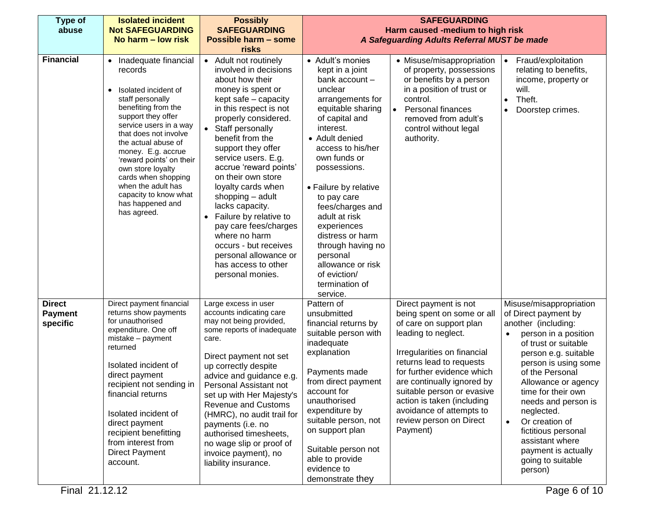| Type of<br>abuse                            | <b>Isolated incident</b><br><b>Not SAFEGUARDING</b>                                                                                                                                                                                                                                                                                                                                | <b>Possibly</b><br><b>SAFEGUARDING</b>                                                                                                                                                                                                                                                                                                                                                                                                                                                                                                             |                                                                                                                                                                                                                                                                                                                                                                                                                                     | <b>SAFEGUARDING</b><br>Harm caused -medium to high risk                                                                                                                                                                                                                                                                                                     |                                                                                                                                                                                                                                                                                                                                                                                                |
|---------------------------------------------|------------------------------------------------------------------------------------------------------------------------------------------------------------------------------------------------------------------------------------------------------------------------------------------------------------------------------------------------------------------------------------|----------------------------------------------------------------------------------------------------------------------------------------------------------------------------------------------------------------------------------------------------------------------------------------------------------------------------------------------------------------------------------------------------------------------------------------------------------------------------------------------------------------------------------------------------|-------------------------------------------------------------------------------------------------------------------------------------------------------------------------------------------------------------------------------------------------------------------------------------------------------------------------------------------------------------------------------------------------------------------------------------|-------------------------------------------------------------------------------------------------------------------------------------------------------------------------------------------------------------------------------------------------------------------------------------------------------------------------------------------------------------|------------------------------------------------------------------------------------------------------------------------------------------------------------------------------------------------------------------------------------------------------------------------------------------------------------------------------------------------------------------------------------------------|
|                                             | No harm – low risk                                                                                                                                                                                                                                                                                                                                                                 | Possible harm - some                                                                                                                                                                                                                                                                                                                                                                                                                                                                                                                               | A Safeguarding Adults Referral MUST be made                                                                                                                                                                                                                                                                                                                                                                                         |                                                                                                                                                                                                                                                                                                                                                             |                                                                                                                                                                                                                                                                                                                                                                                                |
|                                             |                                                                                                                                                                                                                                                                                                                                                                                    | risks                                                                                                                                                                                                                                                                                                                                                                                                                                                                                                                                              |                                                                                                                                                                                                                                                                                                                                                                                                                                     |                                                                                                                                                                                                                                                                                                                                                             |                                                                                                                                                                                                                                                                                                                                                                                                |
| <b>Financial</b>                            | Inadequate financial<br>records<br>Isolated incident of<br>staff personally<br>benefiting from the<br>support they offer<br>service users in a way<br>that does not involve<br>the actual abuse of<br>money. E.g. accrue<br>'reward points' on their<br>own store loyalty<br>cards when shopping<br>when the adult has<br>capacity to know what<br>has happened and<br>has agreed. | • Adult not routinely<br>involved in decisions<br>about how their<br>money is spent or<br>kept safe - capacity<br>in this respect is not<br>properly considered.<br>• Staff personally<br>benefit from the<br>support they offer<br>service users. E.g.<br>accrue 'reward points'<br>on their own store<br>loyalty cards when<br>shopping - adult<br>lacks capacity.<br>Failure by relative to<br>$\bullet$<br>pay care fees/charges<br>where no harm<br>occurs - but receives<br>personal allowance or<br>has access to other<br>personal monies. | • Adult's monies<br>kept in a joint<br>bank account -<br>unclear<br>arrangements for<br>equitable sharing<br>of capital and<br>interest.<br>• Adult denied<br>access to his/her<br>own funds or<br>possessions.<br>• Failure by relative<br>to pay care<br>fees/charges and<br>adult at risk<br>experiences<br>distress or harm<br>through having no<br>personal<br>allowance or risk<br>of eviction/<br>termination of<br>service. | • Misuse/misappropriation<br>of property, possessions<br>or benefits by a person<br>in a position of trust or<br>control.<br><b>Personal finances</b><br>removed from adult's<br>control without legal<br>authority.                                                                                                                                        | Fraud/exploitation<br>$\bullet$<br>relating to benefits,<br>income, property or<br>will.<br>Theft.<br>Doorstep crimes.                                                                                                                                                                                                                                                                         |
| <b>Direct</b><br><b>Payment</b><br>specific | Direct payment financial<br>returns show payments<br>for unauthorised<br>expenditure. One off<br>mistake - payment<br>returned<br>Isolated incident of<br>direct payment<br>recipient not sending in<br>financial returns<br>Isolated incident of<br>direct payment<br>recipient benefitting<br>from interest from<br><b>Direct Payment</b><br>account.                            | Large excess in user<br>accounts indicating care<br>may not being provided,<br>some reports of inadequate<br>care.<br>Direct payment not set<br>up correctly despite<br>advice and guidance e.g.<br>Personal Assistant not<br>set up with Her Majesty's<br><b>Revenue and Customs</b><br>(HMRC), no audit trail for<br>payments (i.e. no<br>authorised timesheets,<br>no wage slip or proof of<br>invoice payment), no<br>liability insurance.                                                                                                     | Pattern of<br>unsubmitted<br>financial returns by<br>suitable person with<br>inadequate<br>explanation<br>Payments made<br>from direct payment<br>account for<br>unauthorised<br>expenditure by<br>suitable person, not<br>on support plan<br>Suitable person not<br>able to provide<br>evidence to<br>demonstrate they                                                                                                             | Direct payment is not<br>being spent on some or all<br>of care on support plan<br>leading to neglect.<br>Irregularities on financial<br>returns lead to requests<br>for further evidence which<br>are continually ignored by<br>suitable person or evasive<br>action is taken (including<br>avoidance of attempts to<br>review person on Direct<br>Payment) | Misuse/misappropriation<br>of Direct payment by<br>another (including:<br>person in a position<br>of trust or suitable<br>person e.g. suitable<br>person is using some<br>of the Personal<br>Allowance or agency<br>time for their own<br>needs and person is<br>neglected.<br>Or creation of<br>fictitious personal<br>assistant where<br>payment is actually<br>going to suitable<br>person) |
| Final 21.12.12                              |                                                                                                                                                                                                                                                                                                                                                                                    |                                                                                                                                                                                                                                                                                                                                                                                                                                                                                                                                                    |                                                                                                                                                                                                                                                                                                                                                                                                                                     |                                                                                                                                                                                                                                                                                                                                                             | Page 6 of 10                                                                                                                                                                                                                                                                                                                                                                                   |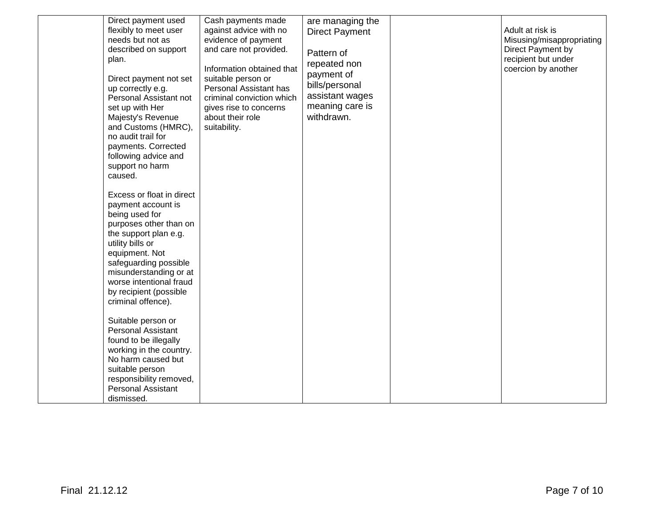| Direct payment used<br>flexibly to meet user<br>needs but not as<br>described on support<br>plan.<br>Direct payment not set<br>up correctly e.g.<br>Personal Assistant not<br>set up with Her<br>Majesty's Revenue<br>and Customs (HMRC),<br>no audit trail for<br>payments. Corrected<br>following advice and<br>support no harm | Cash payments made<br>against advice with no<br>evidence of payment<br>and care not provided.<br>Information obtained that<br>suitable person or<br>Personal Assistant has<br>criminal conviction which<br>gives rise to concerns<br>about their role<br>suitability. | are managing the<br><b>Direct Payment</b><br>Pattern of<br>repeated non<br>payment of<br>bills/personal<br>assistant wages<br>meaning care is<br>withdrawn. | Adult at risk is<br>Misusing/misappropriating<br>Direct Payment by<br>recipient but under<br>coercion by another |
|-----------------------------------------------------------------------------------------------------------------------------------------------------------------------------------------------------------------------------------------------------------------------------------------------------------------------------------|-----------------------------------------------------------------------------------------------------------------------------------------------------------------------------------------------------------------------------------------------------------------------|-------------------------------------------------------------------------------------------------------------------------------------------------------------|------------------------------------------------------------------------------------------------------------------|
| caused.<br>Excess or float in direct<br>payment account is<br>being used for<br>purposes other than on<br>the support plan e.g.<br>utility bills or<br>equipment. Not<br>safeguarding possible<br>misunderstanding or at<br>worse intentional fraud<br>by recipient (possible<br>criminal offence).                               |                                                                                                                                                                                                                                                                       |                                                                                                                                                             |                                                                                                                  |
| Suitable person or<br><b>Personal Assistant</b><br>found to be illegally<br>working in the country.<br>No harm caused but<br>suitable person<br>responsibility removed,<br><b>Personal Assistant</b><br>dismissed.                                                                                                                |                                                                                                                                                                                                                                                                       |                                                                                                                                                             |                                                                                                                  |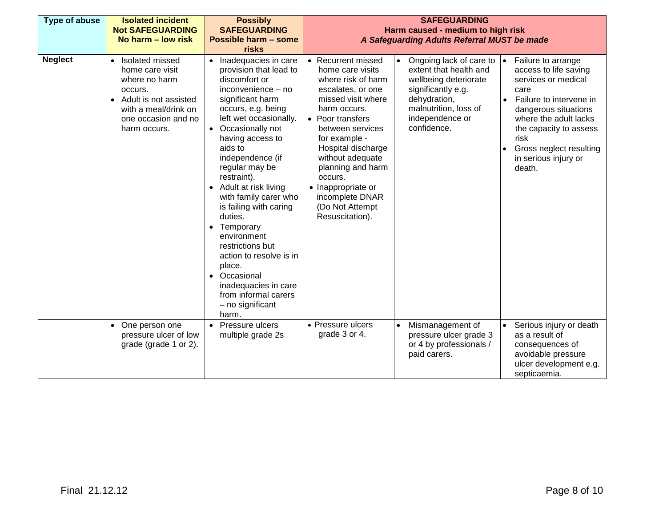| Type of abuse  | <b>Isolated incident</b><br><b>Not SAFEGUARDING</b><br>No harm – low risk                                                                                  | <b>Possibly</b><br><b>SAFEGUARDING</b><br>Possible harm - some<br>risks                                                                                                                                                                                                                                                                                                                                                                                                                                                                                                          | <b>SAFEGUARDING</b><br>Harm caused - medium to high risk<br>A Safeguarding Adults Referral MUST be made                                                                                                                                                                                                                                   |                                                                                                                                                                                                                    |                                                                                                                                                                                                                                                       |
|----------------|------------------------------------------------------------------------------------------------------------------------------------------------------------|----------------------------------------------------------------------------------------------------------------------------------------------------------------------------------------------------------------------------------------------------------------------------------------------------------------------------------------------------------------------------------------------------------------------------------------------------------------------------------------------------------------------------------------------------------------------------------|-------------------------------------------------------------------------------------------------------------------------------------------------------------------------------------------------------------------------------------------------------------------------------------------------------------------------------------------|--------------------------------------------------------------------------------------------------------------------------------------------------------------------------------------------------------------------|-------------------------------------------------------------------------------------------------------------------------------------------------------------------------------------------------------------------------------------------------------|
| <b>Neglect</b> | • Isolated missed<br>home care visit<br>where no harm<br>occurs.<br>• Adult is not assisted<br>with a meal/drink on<br>one occasion and no<br>harm occurs. | • Inadequacies in care<br>provision that lead to<br>discomfort or<br>inconvenience - no<br>significant harm<br>occurs, e.g. being<br>left wet occasionally.<br>Occasionally not<br>$\bullet$<br>having access to<br>aids to<br>independence (if<br>regular may be<br>restraint).<br>Adult at risk living<br>with family carer who<br>is failing with caring<br>duties.<br>Temporary<br>$\bullet$<br>environment<br>restrictions but<br>action to resolve is in<br>place.<br>Occasional<br>$\bullet$<br>inadequacies in care<br>from informal carers<br>- no significant<br>harm. | • Recurrent missed<br>home care visits<br>where risk of harm<br>escalates, or one<br>missed visit where<br>harm occurs.<br>• Poor transfers<br>between services<br>for example -<br>Hospital discharge<br>without adequate<br>planning and harm<br>occurs.<br>• Inappropriate or<br>incomplete DNAR<br>(Do Not Attempt<br>Resuscitation). | Ongoing lack of care to<br>$\bullet$<br>$\bullet$<br>extent that health and<br>wellbeing deteriorate<br>significantly e.g.<br>dehydration,<br>$\bullet$<br>malnutrition, loss of<br>independence or<br>confidence. | Failure to arrange<br>access to life saving<br>services or medical<br>care<br>Failure to intervene in<br>dangerous situations<br>where the adult lacks<br>the capacity to assess<br>risk<br>Gross neglect resulting<br>in serious injury or<br>death. |
|                | • One person one<br>pressure ulcer of low<br>grade (grade 1 or 2).                                                                                         | Pressure ulcers<br>$\bullet$<br>multiple grade 2s                                                                                                                                                                                                                                                                                                                                                                                                                                                                                                                                | • Pressure ulcers<br>grade 3 or 4.                                                                                                                                                                                                                                                                                                        | Mismanagement of<br>$\bullet$<br>$\bullet$<br>pressure ulcer grade 3<br>or 4 by professionals /<br>paid carers.                                                                                                    | Serious injury or death<br>as a result of<br>consequences of<br>avoidable pressure<br>ulcer development e.g.<br>septicaemia.                                                                                                                          |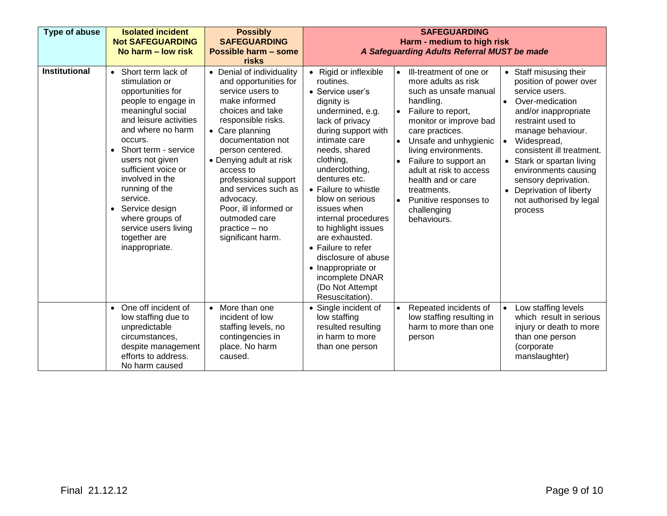| Type of abuse        | <b>Isolated incident</b><br><b>Not SAFEGUARDING</b><br>No harm – low risk                                                                                                                                                                                                                                                                                                             | <b>Possibly</b><br><b>SAFEGUARDING</b><br>Possible harm - some<br>risks                                                                                                                                                                                                                                                                                                            | <b>SAFEGUARDING</b><br>Harm - medium to high risk<br>A Safeguarding Adults Referral MUST be made                                                                                                                                                                                                                                                                                                                                                                                                                                                                                                                                                                                                                                                                                                                                                                                                                                                                                                                                                                                                                                                                                                                                                                      |  |  |
|----------------------|---------------------------------------------------------------------------------------------------------------------------------------------------------------------------------------------------------------------------------------------------------------------------------------------------------------------------------------------------------------------------------------|------------------------------------------------------------------------------------------------------------------------------------------------------------------------------------------------------------------------------------------------------------------------------------------------------------------------------------------------------------------------------------|-----------------------------------------------------------------------------------------------------------------------------------------------------------------------------------------------------------------------------------------------------------------------------------------------------------------------------------------------------------------------------------------------------------------------------------------------------------------------------------------------------------------------------------------------------------------------------------------------------------------------------------------------------------------------------------------------------------------------------------------------------------------------------------------------------------------------------------------------------------------------------------------------------------------------------------------------------------------------------------------------------------------------------------------------------------------------------------------------------------------------------------------------------------------------------------------------------------------------------------------------------------------------|--|--|
| <b>Institutional</b> | • Short term lack of<br>stimulation or<br>opportunities for<br>people to engage in<br>meaningful social<br>and leisure activities<br>and where no harm<br>occurs.<br>Short term - service<br>users not given<br>sufficient voice or<br>involved in the<br>running of the<br>service.<br>• Service design<br>where groups of<br>service users living<br>together are<br>inappropriate. | • Denial of individuality<br>and opportunities for<br>service users to<br>make informed<br>choices and take<br>responsible risks.<br>• Care planning<br>documentation not<br>person centered.<br>• Denying adult at risk<br>access to<br>professional support<br>and services such as<br>advocacy.<br>Poor, ill informed or<br>outmoded care<br>practice - no<br>significant harm. | • Rigid or inflexible<br>Ill-treatment of one or<br>• Staff misusing their<br>$\bullet$<br>more adults as risk<br>routines.<br>position of power over<br>such as unsafe manual<br>service users.<br>• Service user's<br>handling.<br>dignity is<br>Over-medication<br>$\bullet$<br>Failure to report,<br>undermined, e.g.<br>and/or inappropriate<br>$\bullet$<br>lack of privacy<br>restraint used to<br>monitor or improve bad<br>during support with<br>care practices.<br>manage behaviour.<br>intimate care<br>Unsafe and unhygienic<br>Widespread,<br>$\bullet$<br>needs, shared<br>consistent ill treatment.<br>living environments.<br>clothing,<br>Failure to support an<br>Stark or spartan living<br>$\bullet$<br>underclothing,<br>adult at risk to access<br>environments causing<br>dentures etc.<br>health and or care<br>sensory deprivation.<br>• Failure to whistle<br>treatments.<br>Deprivation of liberty<br>$\bullet$<br>blow on serious<br>not authorised by legal<br>Punitive responses to<br>issues when<br>challenging<br>process<br>internal procedures<br>behaviours.<br>to highlight issues<br>are exhausted.<br>• Failure to refer<br>disclosure of abuse<br>• Inappropriate or<br>incomplete DNAR<br>(Do Not Attempt<br>Resuscitation) |  |  |
|                      | • One off incident of<br>low staffing due to<br>unpredictable<br>circumstances,<br>despite management<br>efforts to address.<br>No harm caused                                                                                                                                                                                                                                        | More than one<br>$\bullet$<br>incident of low<br>staffing levels, no<br>contingencies in<br>place. No harm<br>caused.                                                                                                                                                                                                                                                              | Low staffing levels<br>Repeated incidents of<br>• Single incident of<br>which result in serious<br>low staffing resulting in<br>low staffing<br>resulted resulting<br>harm to more than one<br>injury or death to more<br>in harm to more<br>than one person<br>person<br>(corporate<br>than one person<br>manslaughter)                                                                                                                                                                                                                                                                                                                                                                                                                                                                                                                                                                                                                                                                                                                                                                                                                                                                                                                                              |  |  |